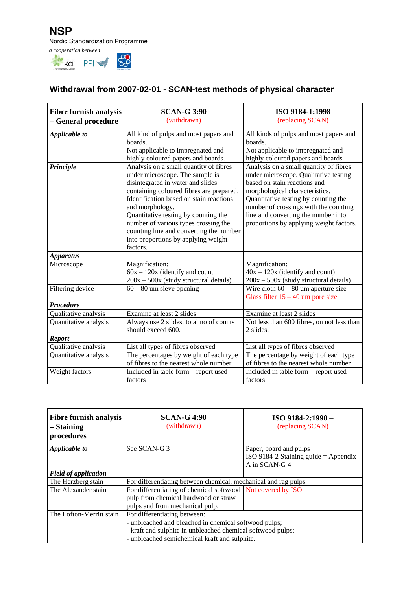

## **Withdrawal from 2007-02-01 - SCAN-test methods of physical character**

| <b>Fibre furnish analysis</b><br>- General procedure | <b>SCAN-G 3:90</b><br>(withdrawn)                                                                                                                                                                                                                                                                                                                                                                      | ISO 9184-1:1998<br>(replacing SCAN)                                                                                                                                                                                                                                                                                  |
|------------------------------------------------------|--------------------------------------------------------------------------------------------------------------------------------------------------------------------------------------------------------------------------------------------------------------------------------------------------------------------------------------------------------------------------------------------------------|----------------------------------------------------------------------------------------------------------------------------------------------------------------------------------------------------------------------------------------------------------------------------------------------------------------------|
| Applicable to                                        | All kind of pulps and most papers and<br>boards.<br>Not applicable to impregnated and<br>highly coloured papers and boards.                                                                                                                                                                                                                                                                            | All kinds of pulps and most papers and<br>boards.<br>Not applicable to impregnated and<br>highly coloured papers and boards.                                                                                                                                                                                         |
| Principle                                            | Analysis on a small quantity of fibres<br>under microscope. The sample is<br>disintegrated in water and slides<br>containing coloured fibres are prepared.<br>Identification based on stain reactions<br>and morphology.<br>Quantitative testing by counting the<br>number of various types crossing the<br>counting line and converting the number<br>into proportions by applying weight<br>factors. | Analysis on a small quantity of fibres<br>under microscope. Qualitative testing<br>based on stain reactions and<br>morphological characteristics.<br>Quantitative testing by counting the<br>number of crossings with the counting<br>line and converting the number into<br>proportions by applying weight factors. |
| <b>Apparatus</b>                                     |                                                                                                                                                                                                                                                                                                                                                                                                        |                                                                                                                                                                                                                                                                                                                      |
| Microscope                                           | Magnification:<br>$60x - 120x$ (identify and count<br>$200x - 500x$ (study structural details)                                                                                                                                                                                                                                                                                                         | Magnification:<br>$40x - 120x$ (identify and count)<br>$200x - 500x$ (study structural details)                                                                                                                                                                                                                      |
| Filtering device                                     | $60 - 80$ um sieve opening                                                                                                                                                                                                                                                                                                                                                                             | Wire cloth $60 - 80$ um aperture size<br>Glass filter $15 - 40$ um pore size                                                                                                                                                                                                                                         |
| <b>Procedure</b>                                     |                                                                                                                                                                                                                                                                                                                                                                                                        |                                                                                                                                                                                                                                                                                                                      |
| Qualitative analysis                                 | Examine at least 2 slides                                                                                                                                                                                                                                                                                                                                                                              | Examine at least 2 slides                                                                                                                                                                                                                                                                                            |
| Quantitative analysis                                | Always use 2 slides, total no of counts<br>should exceed 600.                                                                                                                                                                                                                                                                                                                                          | Not less than 600 fibres, on not less than<br>2 slides.                                                                                                                                                                                                                                                              |
| <b>Report</b>                                        |                                                                                                                                                                                                                                                                                                                                                                                                        |                                                                                                                                                                                                                                                                                                                      |
| Qualitative analysis                                 | List all types of fibres observed                                                                                                                                                                                                                                                                                                                                                                      | List all types of fibres observed                                                                                                                                                                                                                                                                                    |
| Quantitative analysis                                | The percentages by weight of each type<br>of fibres to the nearest whole number                                                                                                                                                                                                                                                                                                                        | The percentage by weight of each type<br>of fibres to the nearest whole number                                                                                                                                                                                                                                       |
| Weight factors                                       | Included in table form - report used<br>factors                                                                                                                                                                                                                                                                                                                                                        | Included in table form - report used<br>factors                                                                                                                                                                                                                                                                      |

| <b>Fibre furnish analysis</b><br>– Staining<br>procedures | <b>SCAN-G 4:90</b><br>(withdrawn)                                                                                                                                                                     | $ISO$ 9184-2:1990 $-$<br>(replacing SCAN)                                       |
|-----------------------------------------------------------|-------------------------------------------------------------------------------------------------------------------------------------------------------------------------------------------------------|---------------------------------------------------------------------------------|
| Applicable to                                             | See SCAN-G3                                                                                                                                                                                           | Paper, board and pulps<br>ISO 9184-2 Staining guide = Appendix<br>A in SCAN-G 4 |
| <b>Field of application</b>                               |                                                                                                                                                                                                       |                                                                                 |
| The Herzberg stain                                        | For differentiating between chemical, mechanical and rag pulps.                                                                                                                                       |                                                                                 |
| The Alexander stain                                       | For differentiating of chemical softwood Not covered by ISO<br>pulp from chemical hardwood or straw<br>pulps and from mechanical pulp.                                                                |                                                                                 |
| The Lofton-Merritt stain                                  | For differentiating between:<br>- unbleached and bleached in chemical softwood pulps;<br>- kraft and sulphite in unbleached chemical softwood pulps;<br>- unbleached semichemical kraft and sulphite. |                                                                                 |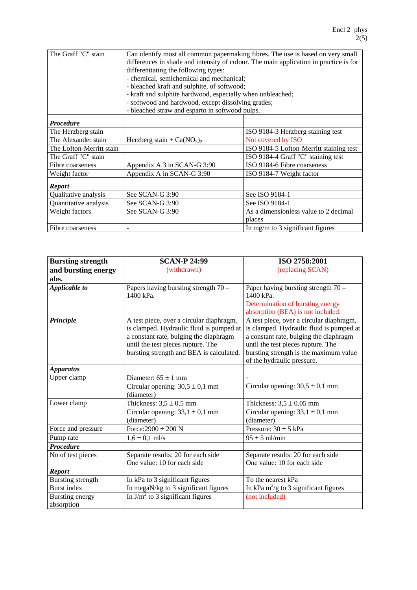| The Graff "C" stain      | Can identify most all common papermaking fibres. The use is based on very small       |                                         |  |
|--------------------------|---------------------------------------------------------------------------------------|-----------------------------------------|--|
|                          | differences in shade and intensity of colour. The main application in practice is for |                                         |  |
|                          | differentiating the following types:                                                  |                                         |  |
|                          | - chemical, semichemical and mechanical;                                              |                                         |  |
|                          | - bleached kraft and sulphite, of softwood;                                           |                                         |  |
|                          | - kraft and sulphite hardwood, especially when unbleached;                            |                                         |  |
|                          | - softwood and hardwood, except dissolving grades;                                    |                                         |  |
|                          | - bleached straw and esparto in softwood pulps.                                       |                                         |  |
| <b>Procedure</b>         |                                                                                       |                                         |  |
| The Herzberg stain       |                                                                                       | ISO 9184-3 Herzberg staining test       |  |
| The Alexander stain      | Herzberg stain + $Ca(NO3)2$                                                           | Not covered by ISO                      |  |
| The Lofton-Merritt stain |                                                                                       | ISO 9184-5 Lofton-Merritt staining test |  |
| The Graff "C" stain      |                                                                                       | ISO 9184-4 Graff "C" staining test      |  |
| Fibre coarseness         | Appendix A.3 in SCAN-G 3:90                                                           | ISO 9184-6 Fibre coarseness             |  |
| Weight factor            | Appendix A in SCAN-G 3:90                                                             | ISO 9184-7 Weight factor                |  |
| <b>Report</b>            |                                                                                       |                                         |  |
| Qualitative analysis     | See SCAN-G 3:90                                                                       | See ISO 9184-1                          |  |
| Quantitative analysis    | See SCAN-G 3:90                                                                       | See ISO 9184-1                          |  |
| Weight factors           | See SCAN-G 3:90                                                                       | As a dimensionless value to 2 decimal   |  |
|                          |                                                                                       | places                                  |  |
| Fibre coarseness         |                                                                                       | In mg/m to 3 significant figures        |  |

| <b>Bursting strength</b> | <b>SCAN-P 24:99</b>                      | ISO 2758:2001                            |
|--------------------------|------------------------------------------|------------------------------------------|
| and bursting energy      | (withdrawn)                              | (replacing SCAN)                         |
| abs.                     |                                          |                                          |
| Applicable to            | Papers having bursting strength 70 -     | Paper having bursting strength 70 -      |
|                          | 1400 kPa.                                | 1400 kPa.                                |
|                          |                                          | Determination of bursting energy         |
|                          |                                          | absorption (BEA) is not included.        |
| Principle                | A test piece, over a circular diaphragm, | A test piece, over a circular diaphragm, |
|                          | is clamped. Hydraulic fluid is pumped at | is clamped. Hydraulic fluid is pumped at |
|                          | a constant rate, bulging the diaphragm   | a constant rate, bulging the diaphragm   |
|                          | until the test pieces rupture. The       | until the test pieces rupture. The       |
|                          | bursting strength and BEA is calculated. | bursting strength is the maximum value   |
|                          |                                          | of the hydraulic pressure.               |
| <b>Apparatus</b>         |                                          |                                          |
| Upper clamp              | Diameter: $65 \pm 1$ mm                  |                                          |
|                          | Circular opening: $30,5 \pm 0,1$ mm      | Circular opening: $30,5 \pm 0,1$ mm      |
|                          | (diameter)                               |                                          |
| Lower clamp              | Thickness: $3.5 \pm 0.5$ mm              | Thickness: $3.5 \pm 0.05$ mm             |
|                          | Circular opening: $33,1 \pm 0,1$ mm      | Circular opening: $33,1 \pm 0,1$ mm      |
|                          | (diameter)                               | (diameter)                               |
| Force and pressure       | Force: $2900 \pm 200$ N                  | Pressure: $30 \pm 5$ kPa                 |
| Pump rate                | $1,6 \pm 0,1$ ml/s                       | $95 \pm 5$ ml/min                        |
| Procedure                |                                          |                                          |
| No of test pieces        | Separate results: 20 for each side       | Separate results: 20 for each side       |
|                          | One value: 10 for each side              | One value: 10 for each side              |
| <b>Report</b>            |                                          |                                          |
| Bursting strength        | In kPa to 3 significant figures          | To the nearest kPa                       |
| Burst index              | In megaN/kg to 3 significant figures     | In kPa $m^2/g$ to 3 significant figures  |
| Bursting energy          | In $J/m2$ to 3 significant figures       | (not included)                           |
| absorption               |                                          |                                          |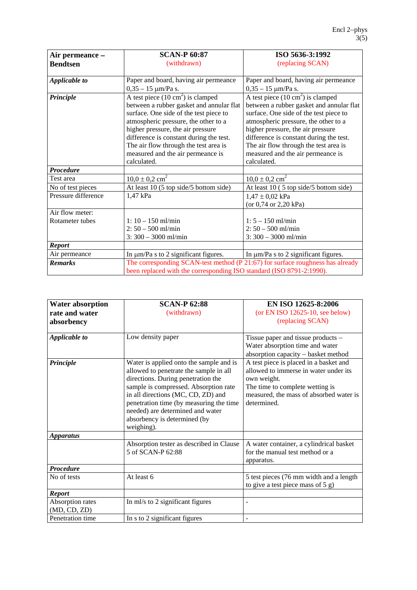| Air permeance -     | <b>SCAN-P 60:87</b>                                                            | ISO 5636-3:1992                             |
|---------------------|--------------------------------------------------------------------------------|---------------------------------------------|
| <b>Bendtsen</b>     | (withdrawn)                                                                    | (replacing SCAN)                            |
|                     |                                                                                |                                             |
| Applicable to       | Paper and board, having air permeance                                          | Paper and board, having air permeance       |
|                     | $0,35 - 15 \mu m/Pa s.$                                                        | $0,35 - 15 \mu m/Pa s.$                     |
| Principle           | A test piece $(10 \text{ cm}^2)$ is clamped                                    | A test piece $(10 \text{ cm}^2)$ is clamped |
|                     | between a rubber gasket and annular flat                                       | between a rubber gasket and annular flat    |
|                     | surface. One side of the test piece to                                         | surface. One side of the test piece to      |
|                     | atmospheric pressure, the other to a                                           | atmospheric pressure, the other to a        |
|                     | higher pressure, the air pressure                                              | higher pressure, the air pressure           |
|                     | difference is constant during the test.                                        | difference is constant during the test.     |
|                     | The air flow through the test area is                                          | The air flow through the test area is       |
|                     | measured and the air permeance is                                              | measured and the air permeance is           |
|                     | calculated.                                                                    | calculated.                                 |
| Procedure           |                                                                                |                                             |
| Test area           | $10,0 \pm 0,2$ cm <sup>2</sup>                                                 | $10,0 \pm 0,2$ cm <sup>2</sup>              |
| No of test pieces   | At least 10 (5 top side/5 bottom side)                                         | At least 10 (5 top side/5 bottom side)      |
| Pressure difference | 1,47 kPa                                                                       | $1,47 \pm 0,02$ kPa                         |
|                     |                                                                                | (or $0,74$ or $2,20$ kPa)                   |
| Air flow meter:     |                                                                                |                                             |
| Rotameter tubes     | $1: 10 - 150$ ml/min                                                           | $1: 5 - 150$ ml/min                         |
|                     | $2: 50 - 500$ ml/min                                                           | $2:50 - 500$ ml/min                         |
|                     | $3:300 - 3000$ ml/min                                                          | $3:300 - 3000$ ml/min                       |
| <b>Report</b>       |                                                                                |                                             |
| Air permeance       | In $\mu$ m/Pa s to 2 significant figures.                                      | In $\mu$ m/Pa s to 2 significant figures.   |
| <b>Remarks</b>      | The corresponding SCAN-test method (P 21:67) for surface roughness has already |                                             |
|                     | been replaced with the corresponding ISO standard (ISO 8791-2:1990).           |                                             |

| <b>Water absorption</b><br>rate and water<br>absorbency | <b>SCAN-P 62:88</b><br>(withdrawn)                                                                                                                                                                                                                                                                                                  | EN ISO 12625-8:2006<br>(or EN ISO 12625-10, see below)<br>(replacing SCAN)                                                                                                                  |
|---------------------------------------------------------|-------------------------------------------------------------------------------------------------------------------------------------------------------------------------------------------------------------------------------------------------------------------------------------------------------------------------------------|---------------------------------------------------------------------------------------------------------------------------------------------------------------------------------------------|
| Applicable to                                           | Low density paper                                                                                                                                                                                                                                                                                                                   | Tissue paper and tissue products $-$<br>Water absorption time and water<br>absorption capacity - basket method                                                                              |
| Principle                                               | Water is applied onto the sample and is<br>allowed to penetrate the sample in all<br>directions. During penetration the<br>sample is compressed. Absorption rate<br>in all directions (MC, CD, ZD) and<br>penetration time (by measuring the time<br>needed) are determined and water<br>absorbency is determined (by<br>weighing). | A test piece is placed in a basket and<br>allowed to immerse in water under its<br>own weight.<br>The time to complete wetting is<br>measured, the mass of absorbed water is<br>determined. |
| <b>Apparatus</b>                                        |                                                                                                                                                                                                                                                                                                                                     |                                                                                                                                                                                             |
|                                                         | Absorption tester as described in Clause<br>5 of SCAN-P 62:88                                                                                                                                                                                                                                                                       | A water container, a cylindrical basket<br>for the manual test method or a<br>apparatus.                                                                                                    |
| <b>Procedure</b>                                        |                                                                                                                                                                                                                                                                                                                                     |                                                                                                                                                                                             |
| No of tests                                             | At least 6                                                                                                                                                                                                                                                                                                                          | 5 test pieces (76 mm width and a length<br>to give a test piece mass of 5 g)                                                                                                                |
| <b>Report</b>                                           |                                                                                                                                                                                                                                                                                                                                     |                                                                                                                                                                                             |
| Absorption rates<br>(MD, CD, ZD)                        | In ml/s to 2 significant figures                                                                                                                                                                                                                                                                                                    |                                                                                                                                                                                             |
| Penetration time                                        | In s to 2 significant figures                                                                                                                                                                                                                                                                                                       | $\overline{a}$                                                                                                                                                                              |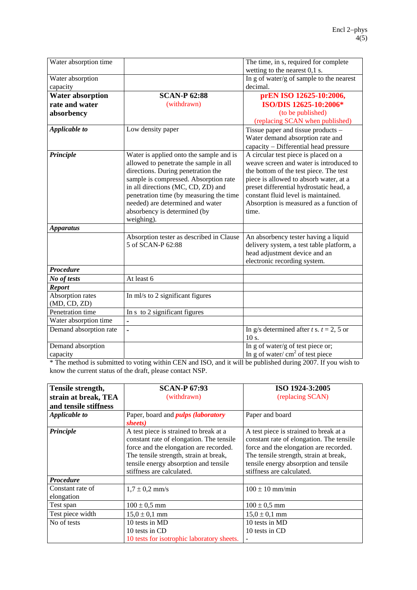| Water absorption time   |                                          | The time, in s, required for complete       |
|-------------------------|------------------------------------------|---------------------------------------------|
|                         |                                          | wetting to the nearest $0,1$ s.             |
| Water absorption        |                                          | In g of water/g of sample to the nearest    |
| capacity                |                                          | decimal.                                    |
| <b>Water absorption</b> | <b>SCAN-P 62:88</b>                      | prEN ISO 12625-10:2006,                     |
| rate and water          | (withdrawn)                              | ISO/DIS 12625-10:2006*                      |
| absorbency              |                                          | (to be published)                           |
|                         |                                          | (replacing SCAN when published)             |
| <b>Applicable to</b>    | Low density paper                        | Tissue paper and tissue products -          |
|                         |                                          | Water demand absorption rate and            |
|                         |                                          | capacity - Differential head pressure       |
| Principle               | Water is applied onto the sample and is  | A circular test piece is placed on a        |
|                         | allowed to penetrate the sample in all   | weave screen and water is introduced to     |
|                         | directions. During penetration the       | the bottom of the test piece. The test      |
|                         | sample is compressed. Absorption rate    | piece is allowed to absorb water, at a      |
|                         | in all directions (MC, CD, ZD) and       | preset differential hydrostatic head, a     |
|                         | penetration time (by measuring the time  | constant fluid level is maintained.         |
|                         | needed) are determined and water         | Absorption is measured as a function of     |
|                         | absorbency is determined (by             | time.                                       |
|                         | weighing).                               |                                             |
| <b>Apparatus</b>        |                                          |                                             |
|                         | Absorption tester as described in Clause | An absorbency tester having a liquid        |
|                         | 5 of SCAN-P 62:88                        | delivery system, a test table platform, a   |
|                         |                                          | head adjustment device and an               |
|                         |                                          | electronic recording system.                |
| <b>Procedure</b>        |                                          |                                             |
| No of tests             | At least 6                               |                                             |
| <b>Report</b>           |                                          |                                             |
| Absorption rates        | In ml/s to 2 significant figures         |                                             |
| (MD, CD, ZD)            |                                          |                                             |
| Penetration time        | In s to 2 significant figures            |                                             |
| Water absorption time   | $\blacksquare$                           |                                             |
| Demand absorption rate  |                                          | In g/s determined after t s. $t = 2$ , 5 or |
|                         |                                          | 10 s.                                       |
| Demand absorption       |                                          | In g of water/g of test piece or;           |
| capacity                |                                          | In g of water/ $cm2$ of test piece          |

\* The method is submitted to voting within CEN and ISO, and it will be published during 2007. If you wish to know the current status of the draft, please contact NSP.

| Tensile strength,              | <b>SCAN-P 67:93</b>                                                                                                                                                                                                                          | ISO 1924-3:2005                                                                                                                                                                                                                              |
|--------------------------------|----------------------------------------------------------------------------------------------------------------------------------------------------------------------------------------------------------------------------------------------|----------------------------------------------------------------------------------------------------------------------------------------------------------------------------------------------------------------------------------------------|
| strain at break, TEA           | (withdrawn)                                                                                                                                                                                                                                  | (replacing SCAN)                                                                                                                                                                                                                             |
| and tensile stiffness          |                                                                                                                                                                                                                                              |                                                                                                                                                                                                                                              |
| Applicable to                  | Paper, board and <i>pulps (laboratory</i>                                                                                                                                                                                                    | Paper and board                                                                                                                                                                                                                              |
|                                | sheets)                                                                                                                                                                                                                                      |                                                                                                                                                                                                                                              |
| Principle                      | A test piece is strained to break at a<br>constant rate of elongation. The tensile<br>force and the elongation are recorded.<br>The tensile strength, strain at break,<br>tensile energy absorption and tensile<br>stiffness are calculated. | A test piece is strained to break at a<br>constant rate of elongation. The tensile<br>force and the elongation are recorded.<br>The tensile strength, strain at break,<br>tensile energy absorption and tensile<br>stiffness are calculated. |
| Procedure                      |                                                                                                                                                                                                                                              |                                                                                                                                                                                                                                              |
| Constant rate of<br>elongation | $1.7 \pm 0.2$ mm/s                                                                                                                                                                                                                           | $100 \pm 10$ mm/min                                                                                                                                                                                                                          |
| Test span                      | $100 \pm 0.5$ mm                                                                                                                                                                                                                             | $100 \pm 0.5$ mm                                                                                                                                                                                                                             |
| Test piece width               | $15.0 \pm 0.1$ mm                                                                                                                                                                                                                            | $15.0 \pm 0.1$ mm                                                                                                                                                                                                                            |
| No of tests                    | 10 tests in MD                                                                                                                                                                                                                               | 10 tests in MD                                                                                                                                                                                                                               |
|                                | 10 tests in CD                                                                                                                                                                                                                               | 10 tests in CD                                                                                                                                                                                                                               |
|                                | 10 tests for isotrophic laboratory sheets.                                                                                                                                                                                                   |                                                                                                                                                                                                                                              |